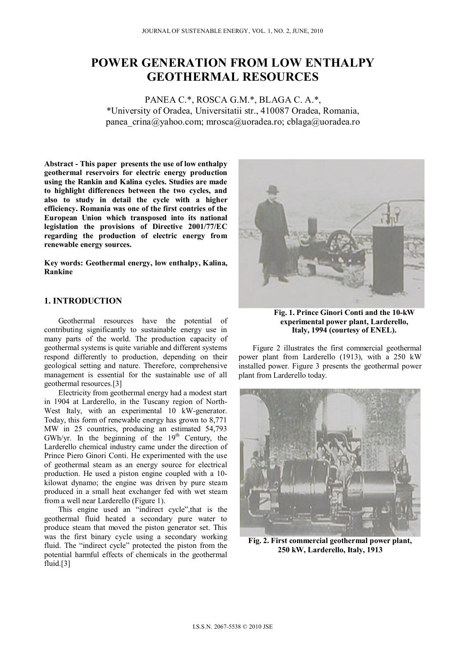# **POWER GENERATION FROM LOW ENTHALPY GEOTHERMAL RESOURCES**

PANEA C.\*, ROSCA G.M.\*, BLAGA C. A.\*, \*University of Oradea, Universitatii str., 410087 Oradea, Romania, panea crina@yahoo.com; mrosca@uoradea.ro; cblaga@uoradea.ro

**Abstract - This paper presents the use of low enthalpy geothermal reservoirs for electric energy production using the Rankin and Kalina cycles. Studies are made to highlight differences between the two cycles, and also to study in detail the cycle with a higher efficiency. Romania was one of the first contries of the European Union which transposed into its national legislation the provisions of Directive 2001/77/EC regarding the production of electric energy from renewable energy sources.** 

**Key words: Geothermal energy, low enthalpy, Kalina, Rankine** 

# **1. INTRODUCTION**

Geothermal resources have the potential of contributing significantly to sustainable energy use in many parts of the world. The production capacity of geothermal systems is quite variable and different systems respond differently to production, depending on their geological setting and nature. Therefore, comprehensive management is essential for the sustainable use of all geothermal resources.[3]

Electricity from geothermal energy had a modest start in 1904 at Larderello, in the Tuscany region of North-West Italy, with an experimental 10 kW-generator. Today, this form of renewable energy has grown to 8,771 MW in 25 countries, producing an estimated 54,793 GWh/yr. In the beginning of the  $19<sup>th</sup>$  Century, the Larderello chemical industry came under the direction of Prince Piero Ginori Conti. He experimented with the use of geothermal steam as an energy source for electrical production. He used a piston engine coupled with a 10 kilowat dynamo; the engine was driven by pure steam produced in a small heat exchanger fed with wet steam from a well near Larderello (Figure 1).

This engine used an "indirect cycle",that is the geothermal fluid heated a secondary pure water to produce steam that moved the piston generator set. This was the first binary cycle using a secondary working fluid. The "indirect cycle" protected the piston from the potential harmful effects of chemicals in the geothermal fluid.[3]



**Fig. 1. Prince Ginori Conti and the 10-kW experimental power plant, Larderello, Italy, 1994 (courtesy of ENEL).** 

Figure 2 illustrates the first commercial geothermal power plant from Larderello (1913), with a 250 kW installed power. Figure 3 presents the geothermal power plant from Larderello today.



**Fig. 2. First commercial geothermal power plant, 250 kW, Larderello, Italy, 1913**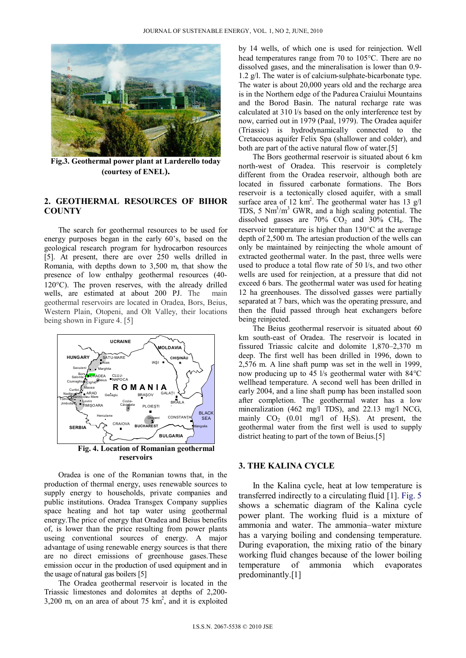

**Fig.3. Geothermal power plant at Larderello today (courtesy of ENEL).** 

### **2. GEOTHERMAL RESOURCES OF BIHOR COUNTY**

The search for geothermal resources to be used for energy purposes began in the early 60's, based on the geological research program for hydrocarbon resources [5]. At present, there are over 250 wells drilled in Romania, with depths down to 3,500 m, that show the presence of low enthalpy geothermal resources (40-  $120^{\circ}$ C). The proven reserves, with the already drilled wells, are estimated at about 200 PJ. The main geothermal reservoirs are located in Oradea, Bors, Beius, Western Plain, Otopeni, and Olt Valley, their locations being shown in Figure 4. [5]



Oradea is one of the Romanian towns that, in the production of thermal energy, uses renewable sources to supply energy to households, private companies and public institutions. Oradea Transgex Company supplies space heating and hot tap water using geothermal energy.The price of energy that Oradea and Beius benefits of, is lower than the price resulting from power plants useing conventional sources of energy. A major advantage of using renewable energy sources is that there are no direct emissions of greenhouse gases.These emission occur in the production of used equipment and in the usage of natural gas boilers [5]

The Oradea geothermal reservoir is located in the Triassic limestones and dolomites at depths of 2,200-  $3,200$  m, on an area of about 75 km<sup>2</sup>, and it is exploited by 14 wells, of which one is used for reinjection. Well head temperatures range from 70 to  $105^{\circ}$ C. There are no dissolved gases, and the mineralisation is lower than 0.9- 1.2 g/l. The water is of calcium-sulphate-bicarbonate type. The water is about 20,000 years old and the recharge area is in the Northern edge of the Padurea Craiului Mountains and the Borod Basin. The natural recharge rate was calculated at 310 l/s based on the only interference test by now, carried out in 1979 (Paal, 1979). The Oradea aquifer (Triassic) is hydrodynamically connected to the Cretaceous aquifer Felix Spa (shallower and colder), and both are part of the active natural flow of water.[5]

The Bors geothermal reservoir is situated about 6 km north-west of Oradea. This reservoir is completely different from the Oradea reservoir, although both are located in fissured carbonate formations. The Bors reservoir is a tectonically closed aquifer, with a small surface area of 12  $km^2$ . The geothermal water has 13 g/l TDS, 5  $Nm<sup>3</sup>/m<sup>3</sup>$  GWR, and a high scaling potential. The dissolved gasses are  $70\%$  CO<sub>2</sub> and  $30\%$  CH<sub>4</sub>. The reservoir temperature is higher than  $130^{\circ}$ C at the average depth of 2,500 m. The artesian production of the wells can only be maintained by reinjecting the whole amount of extracted geothermal water. In the past, three wells were used to produce a total flow rate of 50 l/s, and two other wells are used for reinjection, at a pressure that did not exceed 6 bars. The geothermal water was used for heating 12 ha greenhouses. The dissolved gasses were partially separated at 7 bars, which was the operating pressure, and then the fluid passed through heat exchangers before being reinjected.

The Beius geothermal reservoir is situated about 60 km south-east of Oradea. The reservoir is located in fissured Triassic calcite and dolomite 1,870–2,370 m deep. The first well has been drilled in 1996, down to 2,576 m. A line shaft pump was set in the well in 1999, now producing up to 45 l/s geothermal water with 84°C wellhead temperature. A second well has been drilled in early 2004, and a line shaft pump has been installed soon after completion. The geothermal water has a low mineralization (462 mg/l TDS), and 22.13 mg/l NCG, mainly  $CO_2$  (0.01 mg/l of H<sub>2</sub>S). At present, the geothermal water from the first well is used to supply district heating to part of the town of Beius.[5]

#### **3. THE KALINA CYCLE**

In the Kalina cycle, heat at low temperature is transferred indirectly to a circulating fluid [1]. Fig. 5 shows a schematic diagram of the Kalina cycle power plant. The working fluid is a mixture of ammonia and water. The ammonia–water mixture has a varying boiling and condensing temperature. During evaporation, the mixing ratio of the binary working fluid changes because of the lower boiling temperature of ammonia which evaporates predominantly.[1]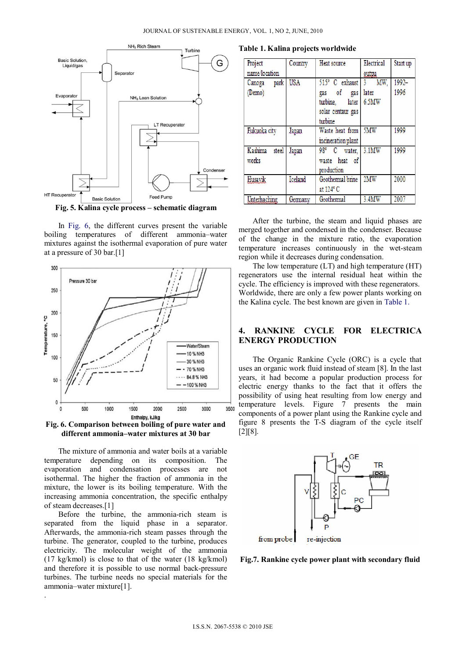

**Fig. 5. Kalina cycle process – schematic diagram** 

In Fig. 6, the different curves present the variable boiling temperatures of different ammonia–water mixtures against the isothermal evaporation of pure water at a pressure of 30 bar.[1]



**Fig. 6. Comparison between boiling of pure water and different ammonia–water mixtures at 30 bar** 

The mixture of ammonia and water boils at a variable temperature depending on its composition. The evaporation and condensation processes are not isothermal. The higher the fraction of ammonia in the mixture, the lower is its boiling temperature. With the increasing ammonia concentration, the specific enthalpy of steam decreases.[1]

Before the turbine, the ammonia-rich steam is separated from the liquid phase in a separator. Afterwards, the ammonia-rich steam passes through the turbine. The generator, coupled to the turbine, produces electricity. The molecular weight of the ammonia (17 kg/kmol) is close to that of the water (18 kg/kmol) and therefore it is possible to use normal back-pressure turbines. The turbine needs no special materials for the ammonia–water mixture[1].

.

**Table 1. Kalina projects worldwide** 

| Project<br>name/location  | Country    | Heat source                                                                       | Electrical<br>outpu                   | Start up         |
|---------------------------|------------|-----------------------------------------------------------------------------------|---------------------------------------|------------------|
| Canoga park<br>(Demo)     | <b>USA</b> | 515° C exhaust<br>gas of<br>gas<br>turbine, later<br>solar centaur gas<br>turbine | MW.<br>$\mathbf{3}$<br>later<br>6.5MW | $1992 -$<br>1996 |
| Fukuoka city              | Japan      | Waste heat from<br>incineration plant                                             | 5MW                                   | 1999             |
| Kashima<br>steel<br>works | Japan      | 98° C water,<br>waste heat of<br>production                                       | 3.1MW                                 | 1999             |
| Husavik                   | Iceland    | Geothermal brine<br>at $124^{\circ}$ C                                            | 2MW                                   | 2000             |
| Unterhaching              | Germany    | Geothermal                                                                        | 3.4MW                                 | 2007             |

After the turbine, the steam and liquid phases are merged together and condensed in the condenser. Because of the change in the mixture ratio, the evaporation temperature increases continuously in the wet-steam region while it decreases during condensation.

The low temperature (LT) and high temperature (HT) regenerators use the internal residual heat within the cycle. The efficiency is improved with these regenerators. Worldwide, there are only a few power plants working on the Kalina cycle. The best known are given in Table 1.

## **4. RANKINE CYCLE FOR ELECTRICA ENERGY PRODUCTION**

The Organic Rankine Cycle (ORC) is a cycle that uses an organic work fluid instead of steam [8]. In the last years, it had become a popular production process for electric energy thanks to the fact that it offers the possibility of using heat resulting from low energy and temperature levels. Figure 7 presents the main components of a power plant using the Rankine cycle and figure 8 presents the T-S diagram of the cycle itself [2][8].



**Fig.7. Rankine cycle power plant with secondary fluid**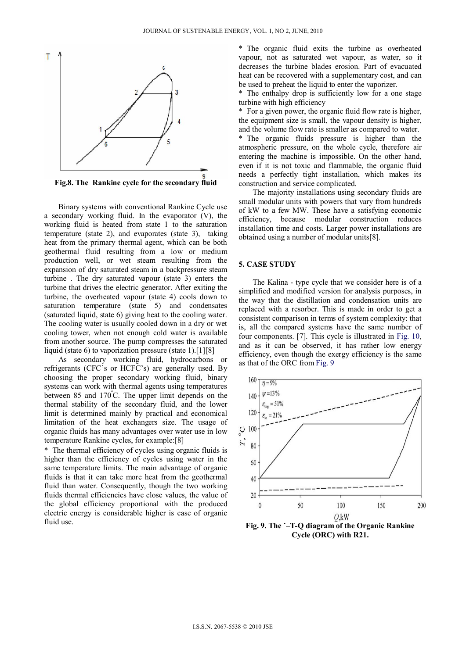

**Fig.8. The Rankine cycle for the secondary fluid** 

Binary systems with conventional Rankine Cycle use a secondary working fluid. In the evaporator (V), the working fluid is heated from state 1 to the saturation temperature (state 2), and evaporates (state 3), taking heat from the primary thermal agent, which can be both geothermal fluid resulting from a low or medium production well, or wet steam resulting from the expansion of dry saturated steam in a backpressure steam turbine . The dry saturated vapour (state 3) enters the turbine that drives the electric generator. After exiting the turbine, the overheated vapour (state 4) cools down to saturation temperature (state 5) and condensates (saturated liquid, state 6) giving heat to the cooling water. The cooling water is usually cooled down in a dry or wet cooling tower, when not enough cold water is available from another source. The pump compresses the saturated liquid (state 6) to vaporization pressure (state 1).[1][8]

As secondary working fluid, hydrocarbons or refrigerants (CFC's or HCFC's) are generally used. By choosing the proper secondary working fluid, binary systems can work with thermal agents using temperatures between 85 and 170º C. The upper limit depends on the thermal stability of the secondary fluid, and the lower limit is determined mainly by practical and economical limitation of the heat exchangers size. The usage of organic fluids has many advantages over water use in low temperature Rankine cycles, for example:[8]

\* The thermal efficiency of cycles using organic fluids is higher than the efficiency of cycles using water in the same temperature limits. The main advantage of organic fluids is that it can take more heat from the geothermal fluid than water. Consequently, though the two working fluids thermal efficiencies have close values, the value of the global efficiency proportional with the produced electric energy is considerable higher is case of organic fluid use.

\* The organic fluid exits the turbine as overheated vapour, not as saturated wet vapour, as water, so it decreases the turbine blades erosion. Part of evacuated heat can be recovered with a supplementary cost, and can be used to preheat the liquid to enter the vaporizer.

\* The enthalpy drop is sufficiently low for a one stage turbine with high efficiency

\* For a given power, the organic fluid flow rate is higher, the equipment size is small, the vapour density is higher, and the volume flow rate is smaller as compared to water.

\* The organic fluids pressure is higher than the atmospheric pressure, on the whole cycle, therefore air entering the machine is impossible. On the other hand, even if it is not toxic and flammable, the organic fluid needs a perfectly tight installation, which makes its construction and service complicated.

The majority installations using secondary fluids are small modular units with powers that vary from hundreds of kW to a few MW. These have a satisfying economic efficiency, because modular construction reduces installation time and costs. Larger power installations are obtained using a number of modular units[8].

#### **5. CASE STUDY**

The Kalina - type cycle that we consider here is of a simplified and modified version for analysis purposes, in the way that the distillation and condensation units are replaced with a resorber. This is made in order to get a consistent comparison in terms of system complexity: that is, all the compared systems have the same number of four components. [7]. This cycle is illustrated in Fig. 10, and as it can be observed, it has rather low energy efficiency, even though the exergy efficiency is the same as that of the ORC from Fig. 9



**Fig. 9. The ˙–T-Q diagram of the Organic Rankine Cycle (ORC) with R21.**